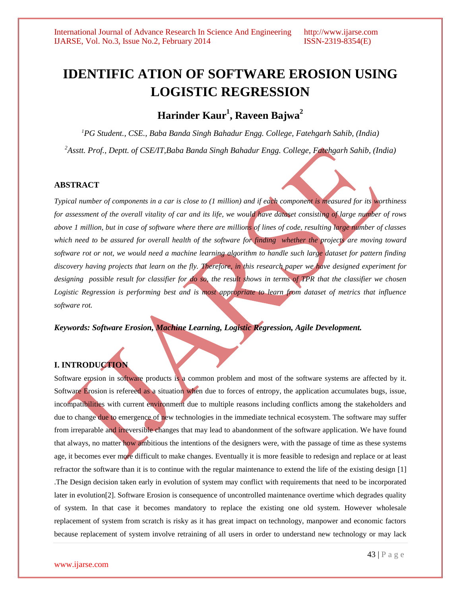# **IDENTIFIC ATION OF SOFTWARE EROSION USING LOGISTIC REGRESSION**

**Harinder Kaur<sup>1</sup> , Raveen Bajwa<sup>2</sup>**

*<sup>1</sup>PG Student., CSE., Baba Banda Singh Bahadur Engg. College, Fatehgarh Sahib, (India)* 

*<sup>2</sup>Asstt. Prof., Deptt. of CSE/IT,Baba Banda Singh Bahadur Engg. College, Fatehgarh Sahib, (India)*

#### **ABSTRACT**

*Typical number of components in a car is close to (1 million) and if each component is measured for its worthiness for assessment of the overall vitality of car and its life, we would have dataset consisting of large number of rows above 1 million, but in case of software where there are millions of lines of code, resulting large number of classes which need to be assured for overall health of the software for finding whether the projects are moving toward software rot or not, we would need a machine learning algorithm to handle such large dataset for pattern finding discovery having projects that learn on the fly. Therefore, in this research paper we have designed experiment for designing possible result for classifier for do so, the result shows in terms of TPR that the classifier we chosen Logistic Regression is performing best and is most appropriate to learn from dataset of metrics that influence software rot.*

*Keywords: Software Erosion, Machine Learning, Logistic Regression, Agile Development.*

# **I. INTRODUCTION**

Software erosion in software products is a common problem and most of the software systems are affected by it. Software Erosion is refereed as a situation when due to forces of entropy, the application accumulates bugs, issue, incompatibilities with current environment due to multiple reasons including conflicts among the stakeholders and due to change due to emergence of new technologies in the immediate technical ecosystem. The software may suffer from irreparable and irreversible changes that may lead to abandonment of the software application. We have found that always, no matter how ambitious the intentions of the designers were, with the passage of time as these systems age, it becomes ever more difficult to make changes. Eventually it is more feasible to redesign and replace or at least refractor the software than it is to continue with the regular maintenance to extend the life of the existing design [1] .The Design decision taken early in evolution of system may conflict with requirements that need to be incorporated later in evolution[2]. Software Erosion is consequence of uncontrolled maintenance overtime which degrades quality of system. In that case it becomes mandatory to replace the existing one old system. However wholesale replacement of system from scratch is risky as it has great impact on technology, manpower and economic factors because replacement of system involve retraining of all users in order to understand new technology or may lack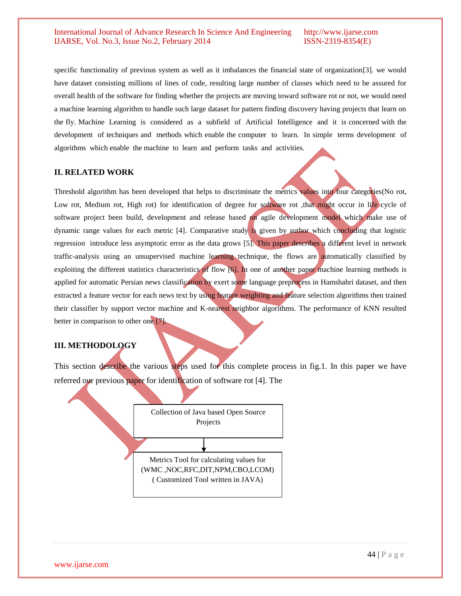specific functionality of previous system as well as it imbalances the financial state of organization[3]. we would have dataset consisting millions of lines of code, resulting large number of classes which need to be assured for overall health of the software for finding whether the projects are moving toward software rot or not, we would need a machine learning algorithm to handle such large dataset for pattern finding discovery having projects that learn on the fly. Machine Learning is considered as a subfield of Artificial Intelligence and it is concerned with the development of techniques and methods which enable the computer to learn. In simple terms development of algorithms which enable the machine to learn and perform tasks and activities.

# **II. RELATED WORK**

Threshold algorithm has been developed that helps to discriminate the metrics values into four categories(No rot, Low rot, Medium rot, High rot) for identification of degree for software rot ,that might occur in life cycle of software project been build, development and release based on agile development model which make use of dynamic range values for each metric [4]. Comparative study is given by author which concluding that logistic regression introduce less asymptotic error as the data grows [5]. This paper describes a different level in network traffic-analysis using an unsupervised machine learning technique, the flows are automatically classified by exploiting the different statistics characteristics of flow [6]. In one of another paper machine learning methods is applied for automatic Persian news classification by exert some language preprocess in Hamshahri dataset, and then extracted a feature vector for each news text by using feature weighting and feature selection algorithms then trained their classifier by support vector machine and K-nearest neighbor algorithms. The performance of KNN resulted better in comparison to other one [7].

# **III. METHODOLOGY**

This section describe the various steps used for this complete process in fig.1. In this paper we have referred our previous paper for identification of software rot [4]. The

| Collection of Java based Open Source    |  |
|-----------------------------------------|--|
| Projects                                |  |
|                                         |  |
|                                         |  |
| Metrics Tool for calculating values for |  |
|                                         |  |
| (WMC,NOC,RFC,DIT,NPM,CBO,LCOM)          |  |
| (Customized Tool written in JAVA)       |  |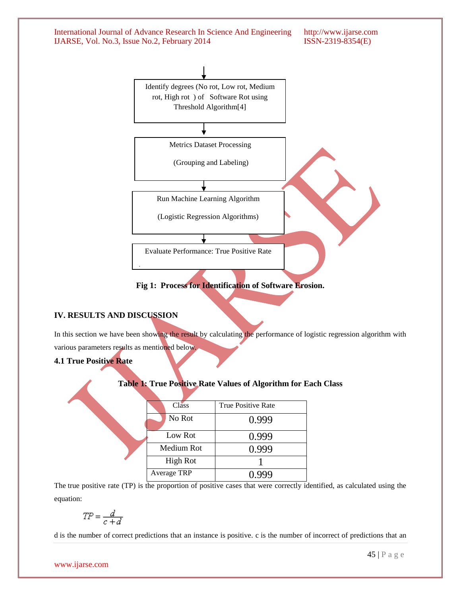

# **IV. RESULTS AND DISCUSSION**

In this section we have been showing the result by calculating the performance of logistic regression algorithm with various parameters results as mentioned below.

**4.1 True Positive Rate**

#### **Table 1: True Positive Rate Values of Algorithm for Each Class**

| Class           | True Positive Rate |
|-----------------|--------------------|
| No Rot          | 0.999              |
| Low Rot         | 0.999              |
| Medium Rot      | 0.999              |
| <b>High Rot</b> |                    |
| Average TRP     | .999               |
|                 |                    |

The true positive rate (TP) is the proportion of positive cases that were correctly identified, as calculated using the equation:

$$
TP = \frac{d}{c+d}
$$

d is the number of correct predictions that an instance is positive. c is the number of incorrect of predictions that an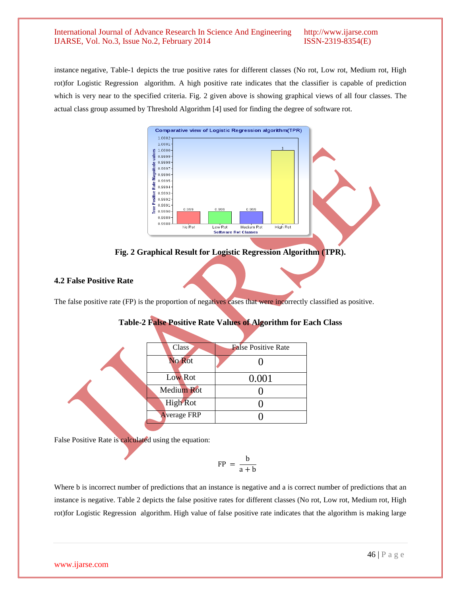instance negative, Table-1 depicts the true positive rates for different classes (No rot, Low rot, Medium rot, High rot)for Logistic Regression algorithm. A high positive rate indicates that the classifier is capable of prediction which is very near to the specified criteria. Fig. 2 given above is showing graphical views of all four classes. The actual class group assumed by Threshold Algorithm [4] used for finding the degree of software rot.



**Fig. 2 Graphical Result for Logistic Regression Algorithm (TPR).**

# **4.2 False Positive Rate**

The false positive rate (FP) is the proportion of negatives cases that were incorrectly classified as positive.

# **Table-2 False Positive Rate Values of Algorithm for Each Class**

| <b>Class</b>       | <b>False Positive Rate</b> |
|--------------------|----------------------------|
| No Rot             |                            |
| Low Rot            | 0.001                      |
| <b>Medium Rot</b>  |                            |
| <b>High Rot</b>    |                            |
| <b>Average FRP</b> |                            |
|                    |                            |

False Positive Rate is calculated using the equation:

$$
FP = \frac{b}{a+b}
$$

Where b is incorrect number of predictions that an instance is negative and a is correct number of predictions that an instance is negative. Table 2 depicts the false positive rates for different classes (No rot, Low rot, Medium rot, High rot)for Logistic Regression algorithm. High value of false positive rate indicates that the algorithm is making large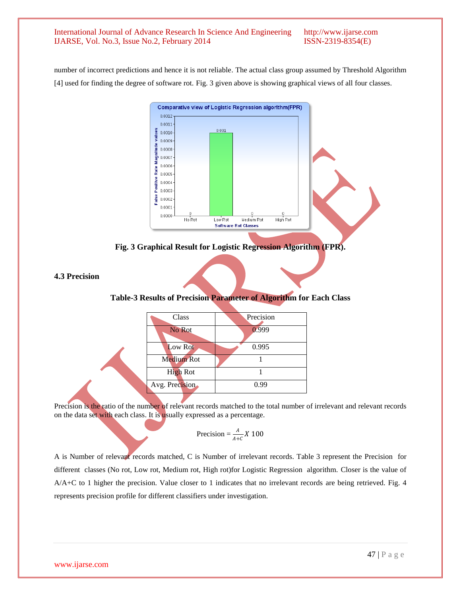number of incorrect predictions and hence it is not reliable. The actual class group assumed by Threshold Algorithm [4] used for finding the degree of software rot. Fig. 3 given above is showing graphical views of all four classes.



**Fig. 3 Graphical Result for Logistic Regression Algorithm (FPR).**

**4.3 Precision**

# **Table-3 Results of Precision Parameter of Algorithm for Each Class**

| Class             | Precision |  |
|-------------------|-----------|--|
| No Rot            | 0.999     |  |
| Low Rot           | 0.995     |  |
| <b>Medium Rot</b> |           |  |
| <b>High Rot</b>   |           |  |
| Avg. Precision    | 0.99      |  |
|                   |           |  |

Precision is the ratio of the number of relevant records matched to the total number of irrelevant and relevant records on the data set with each class. It is usually expressed as a percentage.

$$
Precision = \frac{A}{A+C} X 100
$$

A is Number of relevant records matched, C is Number of irrelevant records. Table 3 represent the Precision for different classes (No rot, Low rot, Medium rot, High rot)for Logistic Regression algorithm. Closer is the value of A/A+C to 1 higher the precision. Value closer to 1 indicates that no irrelevant records are being retrieved. Fig. 4 represents precision profile for different classifiers under investigation.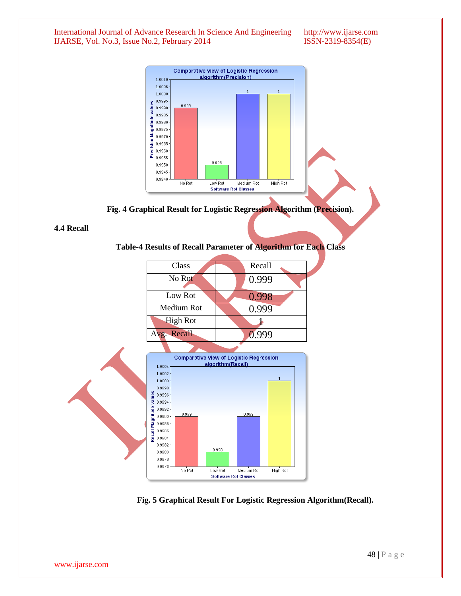

**Fig. 4 Graphical Result for Logistic Regression Algorithm (Precision).**

#### **4.4 Recall**

# **Table-4 Results of Recall Parameter of Algorithm for Each Class**



 **Fig. 5 Graphical Result For Logistic Regression Algorithm(Recall).**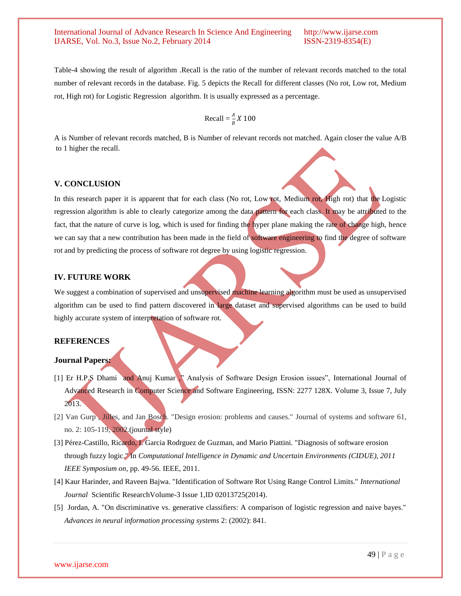Table-4 showing the result of algorithm .Recall is the ratio of the number of relevant records matched to the total number of relevant records in the database. Fig. 5 depicts the Recall for different classes (No rot, Low rot, Medium rot, High rot) for Logistic Regression algorithm. It is usually expressed as a percentage.

$$
\text{Recall} = \frac{A}{B}X\ 100
$$

A is Number of relevant records matched, B is Number of relevant records not matched. Again closer the value A/B to 1 higher the recall.

#### **V. CONCLUSION**

In this research paper it is apparent that for each class (No rot, Low rot, Medium rot, High rot) that the Logistic regression algorithm is able to clearly categorize among the data pattern for each class. It may be attributed to the fact, that the nature of curve is log, which is used for finding the hyper plane making the rate of change high, hence we can say that a new contribution has been made in the field of software engineering to find the degree of software rot and by predicting the process of software rot degree by using logistic regression.

# **IV. FUTURE WORK**

We suggest a combination of supervised and unsupervised machine learning algorithm must be used as unsupervised algorithm can be used to find pattern discovered in large dataset and supervised algorithms can be used to build highly accurate system of interpretation of software rot.

#### **REFERENCES**

#### **Journal Papers:**

- [1] Er H.P.S Dhami and Anuj Kumar ," Analysis of Software Design Erosion issues", International Journal of Advanced Research in Computer Science and Software Engineering, ISSN: 2277 128X. Volume 3, Issue 7, July 2013.
- [2] Van Gurp , Jilles, and Jan Bosch. "Design erosion: problems and causes." Journal of systems and software 61, no. 2: 105-119, 2002.(journal style)
- [3] Pérez-Castillo, Ricardo, I. Garcia Rodrguez de Guzman, and Mario Piattini. "Diagnosis of software erosion through fuzzy logic." In *Computational Intelligence in Dynamic and Uncertain Environments (CIDUE), 2011 IEEE Symposium on*, pp. 49-56. IEEE, 2011.
- [4] Kaur Harinder, and Raveen Bajwa. "Identification of Software Rot Using Range Control Limits." *International Journal* Scientific ResearchVolume-3 Issue 1,ID 02013725(2014).
- [5] Jordan, A. "On discriminative vs. generative classifiers: A comparison of logistic regression and naive bayes." *Advances in neural information processing systems* 2: (2002): 841.